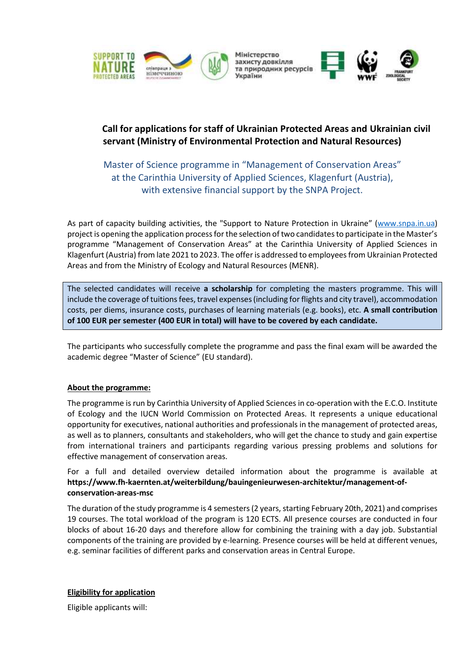





## **Call for applications for staff of Ukrainian Protected Areas and Ukrainian civil servant (Ministry of Environmental Protection and Natural Resources)**

Master of Science programme in "Management of Conservation Areas" at the Carinthia University of Applied Sciences, Klagenfurt (Austria), with extensive financial support by the SNPA Project.

As part of capacity building activities, the "Support to Nature Protection in Ukraine" ([www.snpa.in.ua\)](http://www.snpa.in.ua/) project is opening the application process for the selection of two candidates to participate in the Master's programme "Management of Conservation Areas" at the Carinthia University of Applied Sciences in Klagenfurt (Austria) from late 2021 to 2023. The offer is addressed to employees from Ukrainian Protected Areas and from the Ministry of Ecology and Natural Resources (MENR).

The selected candidates will receive **a scholarship** for completing the masters programme. This will include the coverage of tuitions fees, travel expenses (including for flights and city travel), accommodation costs, per diems, insurance costs, purchases of learning materials (e.g. books), etc. **A small contribution of 100 EUR per semester (400 EUR in total) will have to be covered by each candidate.**

The participants who successfully complete the programme and pass the final exam will be awarded the academic degree "Master of Science" (EU standard).

## **About the programme:**

The programme is run by Carinthia University of Applied Sciences in co-operation with the E.C.O. Institute of Ecology and the IUCN World Commission on Protected Areas. It represents a unique educational opportunity for executives, national authorities and professionals in the management of protected areas, as well as to planners, consultants and stakeholders, who will get the chance to study and gain expertise from international trainers and participants regarding various pressing problems and solutions for effective management of conservation areas.

For a full and detailed overview detailed information about the programme is available at **https://www.fh-kaernten.at/weiterbildung/bauingenieurwesen-architektur/management-ofconservation-areas-msc**

The duration of the study programme is 4 semesters(2 years, starting February 20th, 2021) and comprises 19 courses. The total workload of the program is 120 ECTS. All presence courses are conducted in four blocks of about 16-20 days and therefore allow for combining the training with a day job. Substantial components of the training are provided by e-learning. Presence courses will be held at different venues, e.g. seminar facilities of different parks and conservation areas in Central Europe.

## **Eligibility for application**

Eligible applicants will: